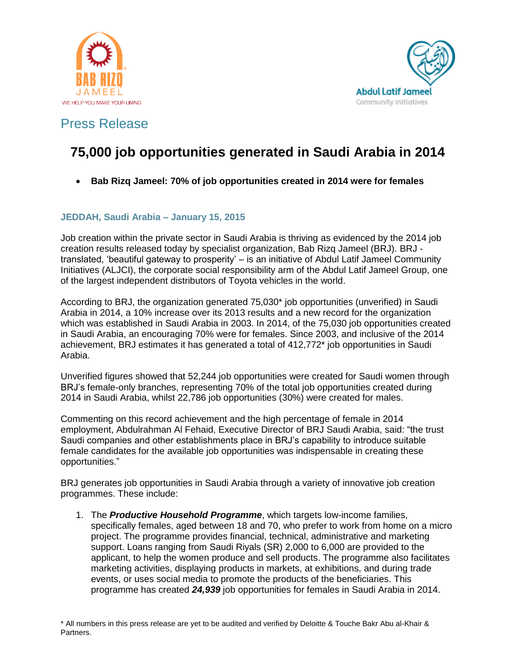



# **75,000 job opportunities generated in Saudi Arabia in 2014**

**Bab Rizq Jameel: 70% of job opportunities created in 2014 were for females**

### **JEDDAH, Saudi Arabia – January 15, 2015**

Job creation within the private sector in Saudi Arabia is thriving as evidenced by the 2014 job creation results released today by specialist organization, Bab Rizq Jameel (BRJ). BRJ translated, "beautiful gateway to prosperity" – is an initiative of Abdul Latif Jameel Community Initiatives (ALJCI), the corporate social responsibility arm of the Abdul Latif Jameel Group, one of the largest independent distributors of Toyota vehicles in the world.

According to BRJ, the organization generated 75,030\* job opportunities (unverified) in Saudi Arabia in 2014, a 10% increase over its 2013 results and a new record for the organization which was established in Saudi Arabia in 2003. In 2014, of the 75,030 job opportunities created in Saudi Arabia, an encouraging 70% were for females. Since 2003, and inclusive of the 2014 achievement, BRJ estimates it has generated a total of 412,772\* job opportunities in Saudi Arabia.

Unverified figures showed that 52,244 job opportunities were created for Saudi women through BRJ"s female-only branches, representing 70% of the total job opportunities created during 2014 in Saudi Arabia, whilst 22,786 job opportunities (30%) were created for males.

Commenting on this record achievement and the high percentage of female in 2014 employment, Abdulrahman Al Fehaid, Executive Director of BRJ Saudi Arabia, said: "the trust Saudi companies and other establishments place in BRJ"s capability to introduce suitable female candidates for the available job opportunities was indispensable in creating these opportunities."

BRJ generates job opportunities in Saudi Arabia through a variety of innovative job creation programmes. These include:

1. The *Productive Household Programme*, which targets low-income families, specifically females, aged between 18 and 70, who prefer to work from home on a micro project. The programme provides financial, technical, administrative and marketing support. Loans ranging from Saudi Riyals (SR) 2,000 to 6,000 are provided to the applicant, to help the women produce and sell products. The programme also facilitates marketing activities, displaying products in markets, at exhibitions, and during trade events, or uses social media to promote the products of the beneficiaries. This programme has created *24,939* job opportunities for females in Saudi Arabia in 2014.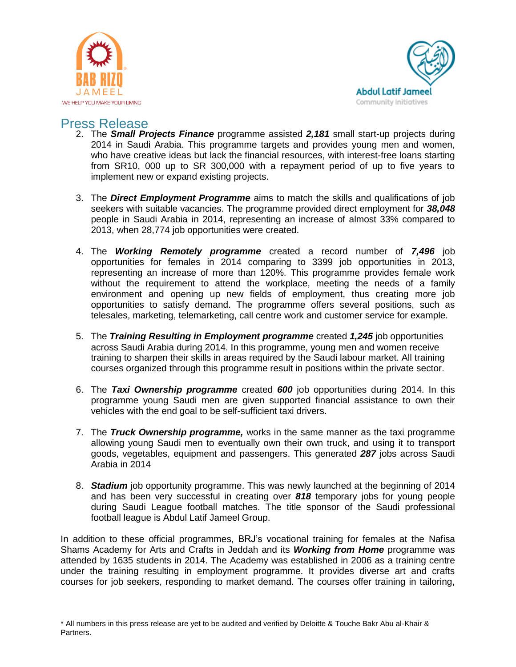



- 2. The *Small Projects Finance* programme assisted *2,181* small start-up projects during 2014 in Saudi Arabia. This programme targets and provides young men and women, who have creative ideas but lack the financial resources, with interest-free loans starting from SR10, 000 up to SR 300,000 with a repayment period of up to five years to implement new or expand existing projects.
- 3. The *Direct Employment Programme* aims to match the skills and qualifications of job seekers with suitable vacancies. The programme provided direct employment for *38,048* people in Saudi Arabia in 2014, representing an increase of almost 33% compared to 2013, when 28,774 job opportunities were created.
- 4. The *Working Remotely programme* created a record number of *7,496* job opportunities for females in 2014 comparing to 3399 job opportunities in 2013, representing an increase of more than 120%. This programme provides female work without the requirement to attend the workplace, meeting the needs of a family environment and opening up new fields of employment, thus creating more job opportunities to satisfy demand. The programme offers several positions, such as telesales, marketing, telemarketing, call centre work and customer service for example.
- 5. The *Training Resulting in Employment programme* created *1,245* job opportunities across Saudi Arabia during 2014. In this programme, young men and women receive training to sharpen their skills in areas required by the Saudi labour market. All training courses organized through this programme result in positions within the private sector.
- 6. The *Taxi Ownership programme* created *600* job opportunities during 2014. In this programme young Saudi men are given supported financial assistance to own their vehicles with the end goal to be self-sufficient taxi drivers.
- 7. The *Truck Ownership programme,* works in the same manner as the taxi programme allowing young Saudi men to eventually own their own truck, and using it to transport goods, vegetables, equipment and passengers. This generated *287* jobs across Saudi Arabia in 2014
- 8. *Stadium* job opportunity programme. This was newly launched at the beginning of 2014 and has been very successful in creating over *818* temporary jobs for young people during Saudi League football matches. The title sponsor of the Saudi professional football league is Abdul Latif Jameel Group.

In addition to these official programmes, BRJ"s vocational training for females at the Nafisa Shams Academy for Arts and Crafts in Jeddah and its *Working from Home* programme was attended by 1635 students in 2014. The Academy was established in 2006 as a training centre under the training resulting in employment programme. It provides diverse art and crafts courses for job seekers, responding to market demand. The courses offer training in tailoring,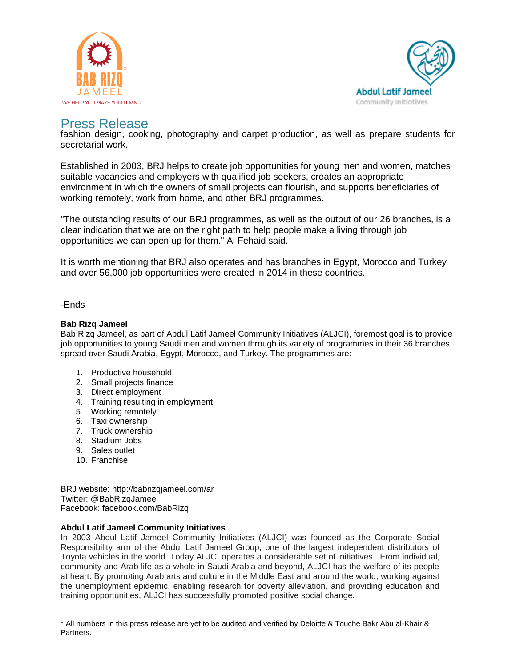



fashion design, cooking, photography and carpet production, as well as prepare students for secretarial work.

Established in 2003, BRJ helps to create job opportunities for young men and women, matches suitable vacancies and employers with qualified job seekers, creates an appropriate environment in which the owners of small projects can flourish, and supports beneficiaries of working remotely, work from home, and other BRJ programmes.

"The outstanding results of our BRJ programmes, as well as the output of our 26 branches, is a clear indication that we are on the right path to help people make a living through job opportunities we can open up for them." Al Fehaid said.

It is worth mentioning that BRJ also operates and has branches in Egypt, Morocco and Turkey and over 56,000 job opportunities were created in 2014 in these countries.

-Ends

### **Bab Rizq Jameel**

Bab Rizq Jameel, as part of Abdul Latif Jameel Community Initiatives (ALJCI), foremost goal is to provide job opportunities to young Saudi men and women through its variety of programmes in their 36 branches spread over Saudi Arabia, Egypt, Morocco, and Turkey. The programmes are:

- 1. Productive household
- 2. Small projects finance
- 3. Direct employment
- 4. Training resulting in employment
- 5. Working remotely
- 6. Taxi ownership
- 7. Truck ownership
- 8. Stadium Jobs
- 9. Sales outlet
- 10. Franchise

BRJ website: http://babrizqjameel.com/ar Twitter: @BabRizqJameel Facebook: facebook.com/BabRizq

#### **Abdul Latif Jameel Community Initiatives**

In 2003 Abdul Latif Jameel Community Initiatives (ALJCI) was founded as the Corporate Social Responsibility arm of the Abdul Latif Jameel Group, one of the largest independent distributors of Toyota vehicles in the world. Today ALJCI operates a considerable set of initiatives. From individual, community and Arab life as a whole in Saudi Arabia and beyond, ALJCI has the welfare of its people at heart. By promoting Arab arts and culture in the Middle East and around the world, working against the unemployment epidemic, enabling research for poverty alleviation, and providing education and training opportunities, ALJCI has successfully promoted positive social change.

\* All numbers in this press release are yet to be audited and verified by Deloitte & Touche Bakr Abu al-Khair & Partners.